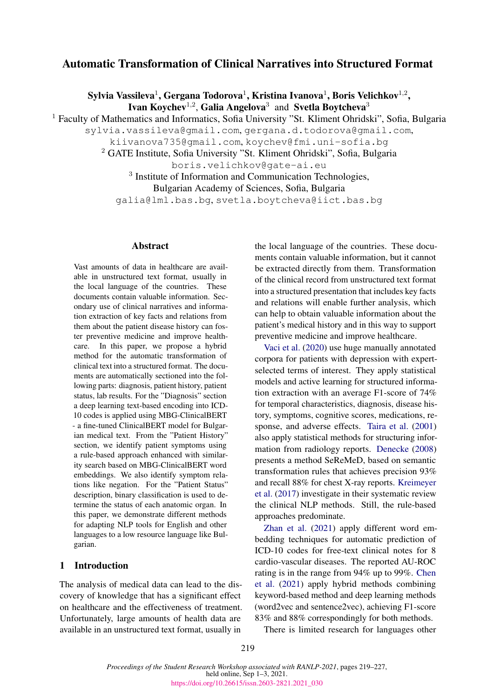# Automatic Transformation of Clinical Narratives into Structured Format

Sylvia Vassileva $^1$ , Gergana Todorova $^1$ , Kristina Ivanova $^1$ , Boris Velichkov $^{1,2},$ Ivan Koychev<sup>1,2</sup>, Galia Angelova<sup>3</sup> and Svetla Boytcheva<sup>3</sup>

<sup>1</sup> Faculty of Mathematics and Informatics, Sofia University "St. Kliment Ohridski", Sofia, Bulgaria

sylvia.vassileva@gmail.com, gergana.d.todorova@gmail.com,

kiivanova735@gmail.com, koychev@fmi.uni-sofia.bg

<sup>2</sup> GATE Institute, Sofia University "St. Kliment Ohridski", Sofia, Bulgaria

boris.velichkov@gate-ai.eu

3 Institute of Information and Communication Technologies,

Bulgarian Academy of Sciences, Sofia, Bulgaria

galia@lml.bas.bg, svetla.boytcheva@iict.bas.bg

#### Abstract

Vast amounts of data in healthcare are available in unstructured text format, usually in the local language of the countries. These documents contain valuable information. Secondary use of clinical narratives and information extraction of key facts and relations from them about the patient disease history can foster preventive medicine and improve healthcare. In this paper, we propose a hybrid method for the automatic transformation of clinical text into a structured format. The documents are automatically sectioned into the following parts: diagnosis, patient history, patient status, lab results. For the "Diagnosis" section a deep learning text-based encoding into ICD-10 codes is applied using MBG-ClinicalBERT - a fine-tuned ClinicalBERT model for Bulgarian medical text. From the "Patient History" section, we identify patient symptoms using a rule-based approach enhanced with similarity search based on MBG-ClinicalBERT word embeddings. We also identify symptom relations like negation. For the "Patient Status" description, binary classification is used to determine the status of each anatomic organ. In this paper, we demonstrate different methods for adapting NLP tools for English and other languages to a low resource language like Bulgarian.

# 1 Introduction

The analysis of medical data can lead to the discovery of knowledge that has a significant effect on healthcare and the effectiveness of treatment. Unfortunately, large amounts of health data are available in an unstructured text format, usually in

the local language of the countries. These documents contain valuable information, but it cannot be extracted directly from them. Transformation of the clinical record from unstructured text format into a structured presentation that includes key facts and relations will enable further analysis, which can help to obtain valuable information about the patient's medical history and in this way to support preventive medicine and improve healthcare.

[Vaci et al.](#page-8-0) [\(2020\)](#page-8-0) use huge manually annotated corpora for patients with depression with expertselected terms of interest. They apply statistical models and active learning for structured information extraction with an average F1-score of 74% for temporal characteristics, diagnosis, disease history, symptoms, cognitive scores, medications, response, and adverse effects. [Taira et al.](#page-8-1) [\(2001\)](#page-8-1) also apply statistical methods for structuring information from radiology reports. [Denecke](#page-8-2) [\(2008\)](#page-8-2) presents a method SeReMeD, based on semantic transformation rules that achieves precision 93% and recall 88% for chest X-ray reports. [Kreimeyer](#page-8-3) [et al.](#page-8-3) [\(2017\)](#page-8-3) investigate in their systematic review the clinical NLP methods. Still, the rule-based approaches predominate.

[Zhan et al.](#page-8-4) [\(2021\)](#page-8-4) apply different word embedding techniques for automatic prediction of ICD-10 codes for free-text clinical notes for 8 cardio-vascular diseases. The reported AU-ROC rating is in the range from 94% up to 99%. [Chen](#page-8-5) [et al.](#page-8-5) [\(2021\)](#page-8-5) apply hybrid methods combining keyword-based method and deep learning methods (word2vec and sentence2vec), achieving F1-score 83% and 88% correspondingly for both methods.

There is limited research for languages other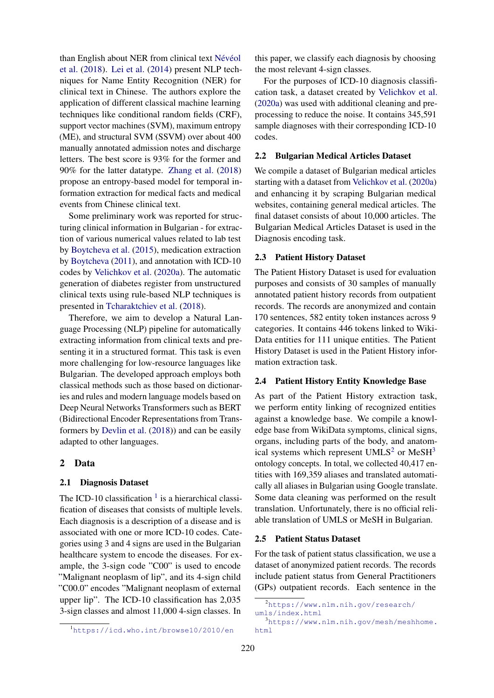than English about NER from clinical text Névéol [et al.](#page-8-6) [\(2018\)](#page-8-6). [Lei et al.](#page-8-7) [\(2014\)](#page-8-7) present NLP techniques for Name Entity Recognition (NER) for clinical text in Chinese. The authors explore the application of different classical machine learning techniques like conditional random fields (CRF), support vector machines (SVM), maximum entropy (ME), and structural SVM (SSVM) over about 400 manually annotated admission notes and discharge letters. The best score is 93% for the former and 90% for the latter datatype. [Zhang et al.](#page-8-8) [\(2018\)](#page-8-8) propose an entropy-based model for temporal information extraction for medical facts and medical events from Chinese clinical text.

Some preliminary work was reported for structuring clinical information in Bulgarian - for extraction of various numerical values related to lab test by [Boytcheva et al.](#page-8-9) [\(2015\)](#page-8-9), medication extraction by [Boytcheva](#page-8-10) [\(2011\)](#page-8-10), and annotation with ICD-10 codes by [Velichkov et al.](#page-8-11) [\(2020a\)](#page-8-11). The automatic generation of diabetes register from unstructured clinical texts using rule-based NLP techniques is presented in [Tcharaktchiev et al.](#page-8-12) [\(2018\)](#page-8-12).

Therefore, we aim to develop a Natural Language Processing (NLP) pipeline for automatically extracting information from clinical texts and presenting it in a structured format. This task is even more challenging for low-resource languages like Bulgarian. The developed approach employs both classical methods such as those based on dictionaries and rules and modern language models based on Deep Neural Networks Transformers such as BERT (Bidirectional Encoder Representations from Transformers by [Devlin et al.](#page-8-13) [\(2018\)](#page-8-13)) and can be easily adapted to other languages.

### 2 Data

### <span id="page-1-4"></span>2.1 Diagnosis Dataset

The ICD-[1](#page-1-0)0 classification  $\frac{1}{1}$  is a hierarchical classification of diseases that consists of multiple levels. Each diagnosis is a description of a disease and is associated with one or more ICD-10 codes. Categories using 3 and 4 signs are used in the Bulgarian healthcare system to encode the diseases. For example, the 3-sign code "C00" is used to encode "Malignant neoplasm of lip", and its 4-sign child "C00.0" encodes "Malignant neoplasm of external upper lip". The ICD-10 classification has 2,035 3-sign classes and almost 11,000 4-sign classes. In

this paper, we classify each diagnosis by choosing the most relevant 4-sign classes.

For the purposes of ICD-10 diagnosis classification task, a dataset created by [Velichkov et al.](#page-8-11) [\(2020a\)](#page-8-11) was used with additional cleaning and preprocessing to reduce the noise. It contains 345,591 sample diagnoses with their corresponding ICD-10 codes.

#### <span id="page-1-3"></span>2.2 Bulgarian Medical Articles Dataset

We compile a dataset of Bulgarian medical articles starting with a dataset from [Velichkov et al.](#page-8-11) [\(2020a\)](#page-8-11) and enhancing it by scraping Bulgarian medical websites, containing general medical articles. The final dataset consists of about 10,000 articles. The Bulgarian Medical Articles Dataset is used in the Diagnosis encoding task.

### <span id="page-1-5"></span>2.3 Patient History Dataset

The Patient History Dataset is used for evaluation purposes and consists of 30 samples of manually annotated patient history records from outpatient records. The records are anonymized and contain 170 sentences, 582 entity token instances across 9 categories. It contains 446 tokens linked to Wiki-Data entities for 111 unique entities. The Patient History Dataset is used in the Patient History information extraction task.

#### <span id="page-1-6"></span>2.4 Patient History Entity Knowledge Base

As part of the Patient History extraction task, we perform entity linking of recognized entities against a knowledge base. We compile a knowledge base from WikiData symptoms, clinical signs, organs, including parts of the body, and anatomical systems which represent  $UMLS<sup>2</sup>$  $UMLS<sup>2</sup>$  $UMLS<sup>2</sup>$  or  $MeSH<sup>3</sup>$  $MeSH<sup>3</sup>$  $MeSH<sup>3</sup>$ ontology concepts. In total, we collected 40,417 entities with 169,359 aliases and translated automatically all aliases in Bulgarian using Google translate. Some data cleaning was performed on the result translation. Unfortunately, there is no official reliable translation of UMLS or MeSH in Bulgarian.

#### <span id="page-1-7"></span>2.5 Patient Status Dataset

For the task of patient status classification, we use a dataset of anonymized patient records. The records include patient status from General Practitioners (GPs) outpatient records. Each sentence in the

<span id="page-1-2"></span><span id="page-1-1"></span><sup>2</sup>[https://www.nlm.nih.gov/research/](https://www.nlm.nih.gov/research/umls/index.html) [umls/index.html](https://www.nlm.nih.gov/research/umls/index.html)

<sup>3</sup>[https://www.nlm.nih.gov/mesh/meshhome.](https://www.nlm.nih.gov/mesh/meshhome.html) [html](https://www.nlm.nih.gov/mesh/meshhome.html)

<span id="page-1-0"></span><sup>1</sup><https://icd.who.int/browse10/2010/en>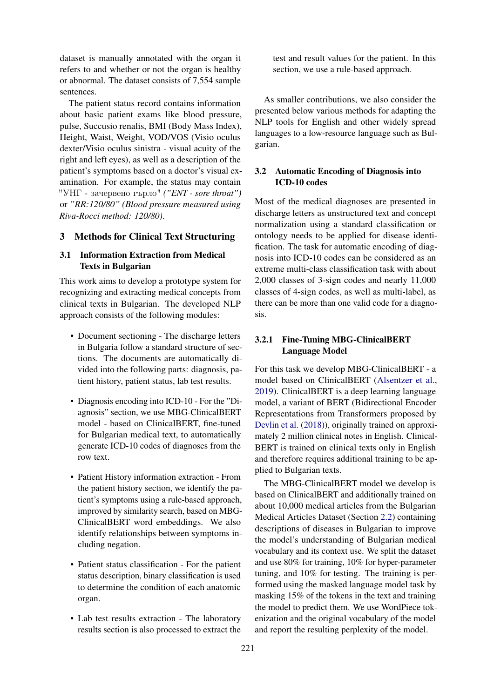dataset is manually annotated with the organ it refers to and whether or not the organ is healthy or abnormal. The dataset consists of 7,554 sample sentences.

The patient status record contains information about basic patient exams like blood pressure, pulse, Succusio renalis, BMI (Body Mass Index), Height, Waist, Weight, VOD/VOS (Visio oculus dexter/Visio oculus sinistra - visual acuity of the right and left eyes), as well as a description of the patient's symptoms based on a doctor's visual examination. For example, the status may contain "УНГ - зачервено гърло" *("ENT - sore throat")* or *"RR:120/80" (Blood pressure measured using Riva-Rocci method: 120/80)*.

### 3 Methods for Clinical Text Structuring

### 3.1 Information Extraction from Medical Texts in Bulgarian

This work aims to develop a prototype system for recognizing and extracting medical concepts from clinical texts in Bulgarian. The developed NLP approach consists of the following modules:

- Document sectioning The discharge letters in Bulgaria follow a standard structure of sections. The documents are automatically divided into the following parts: diagnosis, patient history, patient status, lab test results.
- Diagnosis encoding into ICD-10 For the "Diagnosis" section, we use MBG-ClinicalBERT model - based on ClinicalBERT, fine-tuned for Bulgarian medical text, to automatically generate ICD-10 codes of diagnoses from the row text.
- Patient History information extraction From the patient history section, we identify the patient's symptoms using a rule-based approach, improved by similarity search, based on MBG-ClinicalBERT word embeddings. We also identify relationships between symptoms including negation.
- Patient status classification For the patient status description, binary classification is used to determine the condition of each anatomic organ.
- Lab test results extraction The laboratory results section is also processed to extract the

test and result values for the patient. In this section, we use a rule-based approach.

As smaller contributions, we also consider the presented below various methods for adapting the NLP tools for English and other widely spread languages to a low-resource language such as Bulgarian.

# <span id="page-2-0"></span>3.2 Automatic Encoding of Diagnosis into ICD-10 codes

Most of the medical diagnoses are presented in discharge letters as unstructured text and concept normalization using a standard classification or ontology needs to be applied for disease identification. The task for automatic encoding of diagnosis into ICD-10 codes can be considered as an extreme multi-class classification task with about 2,000 classes of 3-sign codes and nearly 11,000 classes of 4-sign codes, as well as multi-label, as there can be more than one valid code for a diagnosis.

# 3.2.1 Fine-Tuning MBG-ClinicalBERT Language Model

For this task we develop MBG-ClinicalBERT - a model based on ClinicalBERT [\(Alsentzer et al.,](#page-8-14) [2019\)](#page-8-14). ClinicalBERT is a deep learning language model, a variant of BERT (Bidirectional Encoder Representations from Transformers proposed by [Devlin et al.](#page-8-13) [\(2018\)](#page-8-13)), originally trained on approximately 2 million clinical notes in English. Clinical-BERT is trained on clinical texts only in English and therefore requires additional training to be applied to Bulgarian texts.

The MBG-ClinicalBERT model we develop is based on ClinicalBERT and additionally trained on about 10,000 medical articles from the Bulgarian Medical Articles Dataset (Section [2.2\)](#page-1-3) containing descriptions of diseases in Bulgarian to improve the model's understanding of Bulgarian medical vocabulary and its context use. We split the dataset and use 80% for training, 10% for hyper-parameter tuning, and 10% for testing. The training is performed using the masked language model task by masking 15% of the tokens in the text and training the model to predict them. We use WordPiece tokenization and the original vocabulary of the model and report the resulting perplexity of the model.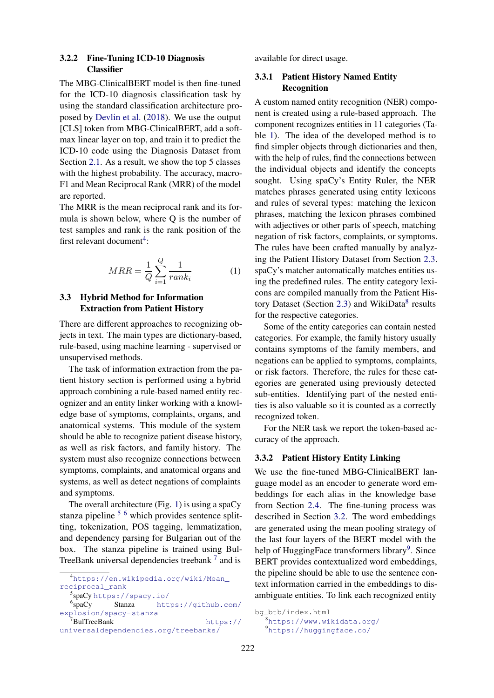### 3.2.2 Fine-Tuning ICD-10 Diagnosis **Classifier**

The MBG-ClinicalBERT model is then fine-tuned for the ICD-10 diagnosis classification task by using the standard classification architecture proposed by [Devlin et al.](#page-8-13) [\(2018\)](#page-8-13). We use the output [CLS] token from MBG-ClinicalBERT, add a softmax linear layer on top, and train it to predict the ICD-10 code using the Diagnosis Dataset from Section [2.1.](#page-1-4) As a result, we show the top 5 classes with the highest probability. The accuracy, macro-F1 and Mean Reciprocal Rank (MRR) of the model are reported.

The MRR is the mean reciprocal rank and its formula is shown below, where Q is the number of test samples and rank is the rank position of the first relevant document<sup>[4](#page-3-0)</sup>:

$$
MRR = \frac{1}{Q} \sum_{i=1}^{Q} \frac{1}{rank_i}
$$
 (1)

# 3.3 Hybrid Method for Information Extraction from Patient History

There are different approaches to recognizing objects in text. The main types are dictionary-based, rule-based, using machine learning - supervised or unsupervised methods.

The task of information extraction from the patient history section is performed using a hybrid approach combining a rule-based named entity recognizer and an entity linker working with a knowledge base of symptoms, complaints, organs, and anatomical systems. This module of the system should be able to recognize patient disease history, as well as risk factors, and family history. The system must also recognize connections between symptoms, complaints, and anatomical organs and systems, as well as detect negations of complaints and symptoms.

The overall architecture (Fig. [1\)](#page-4-0) is using a spaCy stanza pipeline [5](#page-3-1) [6](#page-3-2) which provides sentence splitting, tokenization, POS tagging, lemmatization, and dependency parsing for Bulgarian out of the box. The stanza pipeline is trained using Bul-TreeBank universal dependencies treebank  $<sup>7</sup>$  $<sup>7</sup>$  $<sup>7</sup>$  and is</sup>

<span id="page-3-0"></span><sup>4</sup>[https://en.wikipedia.org/wiki/Mean\\_](https://en.wikipedia.org/wiki/Mean_reciprocal_rank) [reciprocal\\_rank](https://en.wikipedia.org/wiki/Mean_reciprocal_rank)

<span id="page-3-3"></span><span id="page-3-2"></span>5 spaCy <https://spacy.io/>  $6$ spaCy Stanza [https://github.com/](https://github.com/explosion/spacy-stanza) [explosion/spacy-stanza](https://github.com/explosion/spacy-stanza)  $7BulTreeBank$  [https://](https://universaldependencies.org/treebanks/bg_btb/index.html) [universaldependencies.org/treebanks/](https://universaldependencies.org/treebanks/bg_btb/index.html)

[available for direct usage.](https://universaldependencies.org/treebanks/bg_btb/index.html)

# [3.3.1 Patient History Named Entity](https://universaldependencies.org/treebanks/bg_btb/index.html) [Recognition](https://universaldependencies.org/treebanks/bg_btb/index.html)

[A custom named entity recognition \(NER\) compo](https://universaldependencies.org/treebanks/bg_btb/index.html)[nent is created using a rule-based approach. The](https://universaldependencies.org/treebanks/bg_btb/index.html) [component recognizes entities in 11 categories \(Ta](https://universaldependencies.org/treebanks/bg_btb/index.html)ble [1\). The idea of the developed method is to](https://universaldependencies.org/treebanks/bg_btb/index.html) [find simpler objects through dictionaries and then,](https://universaldependencies.org/treebanks/bg_btb/index.html) [with the help of rules, find the connections between](https://universaldependencies.org/treebanks/bg_btb/index.html) [the individual objects and identify the concepts](https://universaldependencies.org/treebanks/bg_btb/index.html) [sought. Using spaCy's Entity Ruler, the NER](https://universaldependencies.org/treebanks/bg_btb/index.html) [matches phrases generated using entity lexicons](https://universaldependencies.org/treebanks/bg_btb/index.html) [and rules of several types: matching the lexicon](https://universaldependencies.org/treebanks/bg_btb/index.html) [phrases, matching the lexicon phrases combined](https://universaldependencies.org/treebanks/bg_btb/index.html) [with adjectives or other parts of speech, matching](https://universaldependencies.org/treebanks/bg_btb/index.html) [negation of risk factors, complaints, or symptoms.](https://universaldependencies.org/treebanks/bg_btb/index.html) [The rules have been crafted manually by analyz](https://universaldependencies.org/treebanks/bg_btb/index.html)[ing the Patient History Dataset from Section](https://universaldependencies.org/treebanks/bg_btb/index.html) [2.3.](#page-1-5) [spaCy's matcher automatically matches entities us](https://universaldependencies.org/treebanks/bg_btb/index.html)[ing the predefined rules. The entity category lexi](https://universaldependencies.org/treebanks/bg_btb/index.html)[cons are compiled manually from the Patient His](https://universaldependencies.org/treebanks/bg_btb/index.html)[tory Dataset \(Section](https://universaldependencies.org/treebanks/bg_btb/index.html) [2.3\)](#page-1-5) and WikiData $8$  results [for the respective categories.](https://universaldependencies.org/treebanks/bg_btb/index.html)

[Some of the entity categories can contain nested](https://universaldependencies.org/treebanks/bg_btb/index.html) [categories. For example, the family history usually](https://universaldependencies.org/treebanks/bg_btb/index.html) [contains symptoms of the family members, and](https://universaldependencies.org/treebanks/bg_btb/index.html) [negations can be applied to symptoms, complaints,](https://universaldependencies.org/treebanks/bg_btb/index.html) [or risk factors. Therefore, the rules for these cat](https://universaldependencies.org/treebanks/bg_btb/index.html)[egories are generated using previously detected](https://universaldependencies.org/treebanks/bg_btb/index.html) [sub-entities. Identifying part of the nested enti](https://universaldependencies.org/treebanks/bg_btb/index.html)[ties is also valuable so it is counted as a correctly](https://universaldependencies.org/treebanks/bg_btb/index.html) [recognized token.](https://universaldependencies.org/treebanks/bg_btb/index.html)

[For the NER task we report the token-based ac](https://universaldependencies.org/treebanks/bg_btb/index.html)[curacy of the approach.](https://universaldependencies.org/treebanks/bg_btb/index.html)

### [3.3.2 Patient History Entity Linking](https://universaldependencies.org/treebanks/bg_btb/index.html)

[We use the fine-tuned MBG-ClinicalBERT lan](https://universaldependencies.org/treebanks/bg_btb/index.html)[guage model as an encoder to generate word em](https://universaldependencies.org/treebanks/bg_btb/index.html)[beddings for each alias in the knowledge base](https://universaldependencies.org/treebanks/bg_btb/index.html) from Section [2.4. The fine-tuning process was](https://universaldependencies.org/treebanks/bg_btb/index.html) described in Section [3.2. The word embeddings](https://universaldependencies.org/treebanks/bg_btb/index.html) [are generated using the mean pooling strategy of](https://universaldependencies.org/treebanks/bg_btb/index.html) [the last four layers of the BERT model with the](https://universaldependencies.org/treebanks/bg_btb/index.html) [help of HuggingFace transformers library](https://universaldependencies.org/treebanks/bg_btb/index.html)<sup>[9](#page-3-5)</sup>. Since [BERT provides contextualized word embeddings,](https://universaldependencies.org/treebanks/bg_btb/index.html) [the pipeline should be able to use the sentence con](https://universaldependencies.org/treebanks/bg_btb/index.html)[text information carried in the embeddings to dis](https://universaldependencies.org/treebanks/bg_btb/index.html)[ambiguate entities. To link each recognized entity](https://universaldependencies.org/treebanks/bg_btb/index.html)

[bg\\_btb/index.html](https://universaldependencies.org/treebanks/bg_btb/index.html)

<span id="page-3-4"></span><sup>8</sup><https://www.wikidata.org/>

<span id="page-3-5"></span><sup>9</sup><https://huggingface.co/>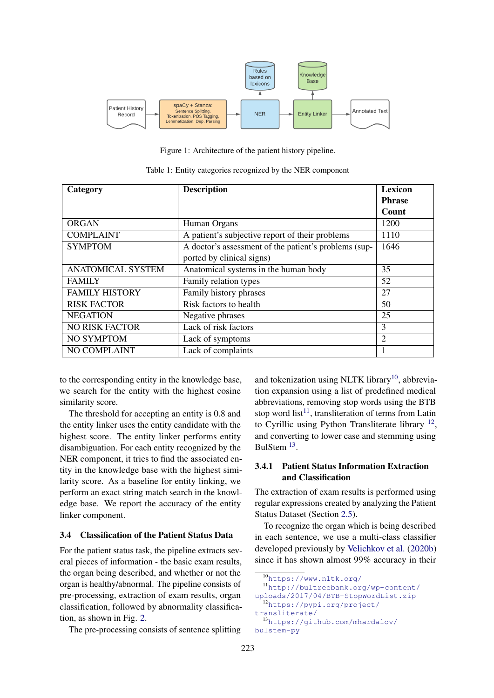<span id="page-4-0"></span>

Figure 1: Architecture of the patient history pipeline.

<span id="page-4-1"></span>

| <b>Description</b><br>Category |                                                       | <b>Lexicon</b> |
|--------------------------------|-------------------------------------------------------|----------------|
|                                |                                                       | <b>Phrase</b>  |
|                                |                                                       | Count          |
| <b>ORGAN</b>                   | Human Organs                                          | 1200           |
| <b>COMPLAINT</b>               | A patient's subjective report of their problems       | 1110           |
| <b>SYMPTOM</b>                 | A doctor's assessment of the patient's problems (sup- | 1646           |
|                                | ported by clinical signs)                             |                |
| <b>ANATOMICAL SYSTEM</b>       | Anatomical systems in the human body                  | 35             |
| <b>FAMILY</b>                  | Family relation types                                 | 52             |
| <b>FAMILY HISTORY</b>          | Family history phrases                                | 27             |
| <b>RISK FACTOR</b>             | Risk factors to health                                | 50             |
| <b>NEGATION</b>                | Negative phrases                                      | 25             |
| <b>NO RISK FACTOR</b>          | Lack of risk factors                                  | 3              |
| <b>NO SYMPTOM</b>              | Lack of symptoms                                      | $\overline{2}$ |
| NO COMPLAINT                   | Lack of complaints                                    |                |

Table 1: Entity categories recognized by the NER component

to the corresponding entity in the knowledge base, we search for the entity with the highest cosine similarity score.

The threshold for accepting an entity is 0.8 and the entity linker uses the entity candidate with the highest score. The entity linker performs entity disambiguation. For each entity recognized by the NER component, it tries to find the associated entity in the knowledge base with the highest similarity score. As a baseline for entity linking, we perform an exact string match search in the knowledge base. We report the accuracy of the entity linker component.

### 3.4 Classification of the Patient Status Data

For the patient status task, the pipeline extracts several pieces of information - the basic exam results, the organ being described, and whether or not the organ is healthy/abnormal. The pipeline consists of pre-processing, extraction of exam results, organ classification, followed by abnormality classification, as shown in Fig. [2.](#page-5-0)

The pre-processing consists of sentence splitting

and tokenization using NLTK library<sup>[10](#page-4-2)</sup>, abbreviation expansion using a list of predefined medical abbreviations, removing stop words using the BTB stop word list<sup>[11](#page-4-3)</sup>, transliteration of terms from Latin to Cyrillic using Python Transliterate library  $^{12}$  $^{12}$  $^{12}$ , and converting to lower case and stemming using BulStem<sup>[13](#page-4-5)</sup>.

# 3.4.1 Patient Status Information Extraction and Classification

The extraction of exam results is performed using regular expressions created by analyzing the Patient Status Dataset (Section [2.5\)](#page-1-7).

To recognize the organ which is being described in each sentence, we use a multi-class classifier developed previously by [Velichkov et al.](#page-8-15) [\(2020b\)](#page-8-15) since it has shown almost 99% accuracy in their

```
10https://www.nltk.org/
 11http://bultreebank.org/wp-content/
uploads/2017/04/BTB-StopWordList.zip
 12https://pypi.org/project/
transliterate/
 13https://github.com/mhardalov/
```

```
bulstem-py
```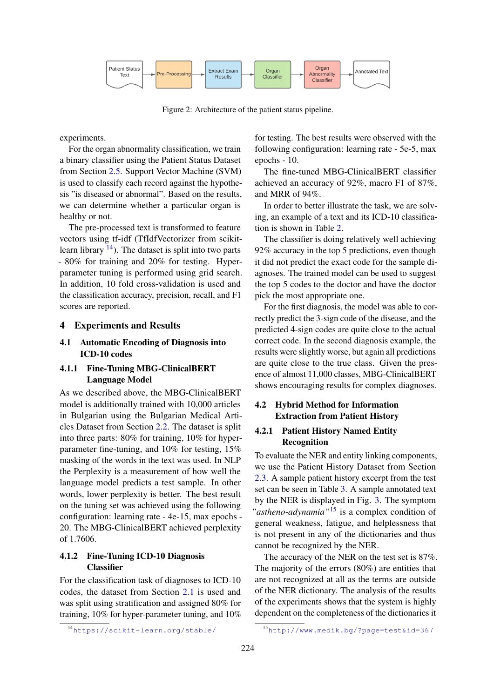<span id="page-5-0"></span>

Figure 2: Architecture of the patient status pipeline.

experiments.

For the organ abnormality classification, we train a binary classifier using the Patient Status Dataset from Section [2.5.](#page-1-7) Support Vector Machine (SVM) is used to classify each record against the hypothesis "is diseased or abnormal". Based on the results, we can determine whether a particular organ is healthy or not.

The pre-processed text is transformed to feature vectors using tf-idf (TfIdfVectorizer from scikitlearn library  $14$ ). The dataset is split into two parts - 80% for training and 20% for testing. Hyperparameter tuning is performed using grid search. In addition, 10 fold cross-validation is used and the classification accuracy, precision, recall, and F1 scores are reported.

#### 4 Experiments and Results

# 4.1 Automatic Encoding of Diagnosis into ICD-10 codes

# 4.1.1 Fine-Tuning MBG-ClinicalBERT Language Model

As we described above, the MBG-ClinicalBERT model is additionally trained with 10,000 articles in Bulgarian using the Bulgarian Medical Articles Dataset from Section [2.2.](#page-1-3) The dataset is split into three parts: 80% for training, 10% for hyperparameter fine-tuning, and 10% for testing, 15% masking of the words in the text was used. In NLP the Perplexity is a measurement of how well the language model predicts a test sample. In other words, lower perplexity is better. The best result on the tuning set was achieved using the following configuration: learning rate - 4e-15, max epochs - 20. The MBG-ClinicalBERT achieved perplexity of 1.7606.

### 4.1.2 Fine-Tuning ICD-10 Diagnosis **Classifier**

For the classification task of diagnoses to ICD-10 codes, the dataset from Section [2.1](#page-1-4) is used and was split using stratification and assigned 80% for training, 10% for hyper-parameter tuning, and 10% for testing. The best results were observed with the following configuration: learning rate - 5e-5, max epochs - 10.

The fine-tuned MBG-ClinicalBERT classifier achieved an accuracy of 92%, macro F1 of 87%, and MRR of 94%.

In order to better illustrate the task, we are solving, an example of a text and its ICD-10 classification is shown in Table [2.](#page-6-0)

The classifier is doing relatively well achieving 92% accuracy in the top 5 predictions, even though it did not predict the exact code for the sample diagnoses. The trained model can be used to suggest the top 5 codes to the doctor and have the doctor pick the most appropriate one.

For the first diagnosis, the model was able to correctly predict the 3-sign code of the disease, and the predicted 4-sign codes are quite close to the actual correct code. In the second diagnosis example, the results were slightly worse, but again all predictions are quite close to the true class. Given the presence of almost 11,000 classes, MBG-ClinicalBERT shows encouraging results for complex diagnoses.

# 4.2 Hybrid Method for Information Extraction from Patient History

# 4.2.1 Patient History Named Entity Recognition

To evaluate the NER and entity linking components, we use the Patient History Dataset from Section [2.3.](#page-1-5) A sample patient history excerpt from the test set can be seen in Table [3.](#page-6-1) A sample annotated text by the NER is displayed in Fig. [3.](#page-6-2) The symptom *"astheno-adynamia"*[15](#page-5-2) is a complex condition of general weakness, fatigue, and helplessness that is not present in any of the dictionaries and thus cannot be recognized by the NER.

The accuracy of the NER on the test set is 87%. The majority of the errors (80%) are entities that are not recognized at all as the terms are outside of the NER dictionary. The analysis of the results of the experiments shows that the system is highly dependent on the completeness of the dictionaries it

<span id="page-5-1"></span><sup>14</sup><https://scikit-learn.org/stable/>

<span id="page-5-2"></span><sup>15</sup><http://www.medik.bg/?page=test&id=367>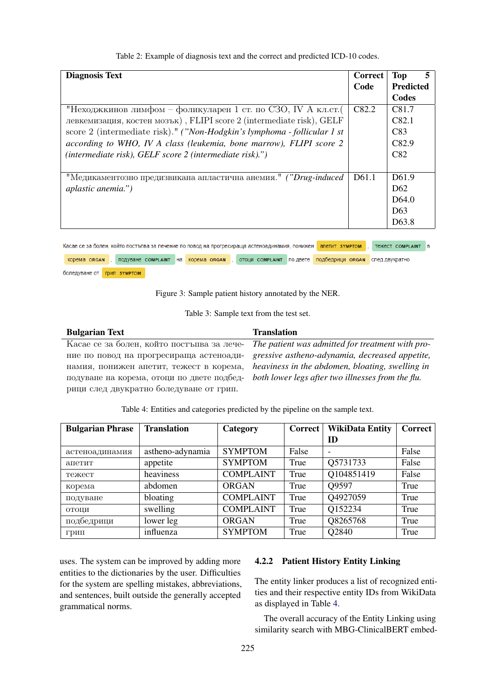<span id="page-6-0"></span>

| <b>Diagnosis Text</b>                                                    | Correct           | 5<br><b>Top</b>    |
|--------------------------------------------------------------------------|-------------------|--------------------|
|                                                                          | Code              | Predicted          |
|                                                                          |                   | Codes              |
| "Неходжкинов лимфом – фоликуларен 1 ст. по СЗО, IV А кл.ст.              | C82.2             | C81.7              |
| левкемизация, костен мозък), FLIPI score 2 (intermediate risk), GELF     |                   | C82.1              |
| score 2 (intermediate risk)." ("Non-Hodgkin's lymphoma - follicular 1 st |                   | C83                |
| according to WHO, IV A class (leukemia, bone marrow), FLIPI score 2      |                   | C82.9              |
| $(intermediate risk), GELF score 2 (intermediate risk).")$               |                   | C82                |
|                                                                          |                   |                    |
| "Медикаментозно предизвикана апластична анемия." ("Drug-induced"         | D <sub>61.1</sub> | D <sub>61.9</sub>  |
| <i>aplastic anemia."</i> )                                               |                   | D <sub>62</sub>    |
|                                                                          |                   | D <sub>64.0</sub>  |
|                                                                          |                   | D <sub>63</sub>    |
|                                                                          |                   | D <sub>6</sub> 3.8 |
|                                                                          |                   |                    |

| Table 2: Example of diagnosis text and the correct and predicted ICD-10 codes. |  |
|--------------------------------------------------------------------------------|--|
|--------------------------------------------------------------------------------|--|

<span id="page-6-2"></span>Касае се за болен, който постъпва за лечение по повод на прогресираща астеноадинамия, понижен апетит syмртом Texect COMPLAINT B корема овсан " подуване сомръант на корема овсан " отоци сомръант по двете подбедрици овсан след двукратно боледуване от грип sуметом

Figure 3: Sample patient history annotated by the NER.

Table 3: Sample text from the test set.

<span id="page-6-1"></span>

| <b>Bulgarian Text</b>                      | <b>Translation</b>                                |
|--------------------------------------------|---------------------------------------------------|
| Касае се за болен, който постъпва за лече- | The patient was admitted for treatment with pro-  |
| ние по повод на прогресираща астеноади-    | gressive astheno-adynamia, decreased appetite,    |
| намия, понижен апетит, тежест в корема,    | heaviness in the abdomen, bloating, swelling in   |
| подуване на корема, отоци по двете подбед- | both lower legs after two illnesses from the flu. |
| рици след двукратно боледуване от грип.    |                                                   |

Table 4: Entities and categories predicted by the pipeline on the sample text.

<span id="page-6-3"></span>

| <b>Bulgarian Phrase</b> | <b>Translation</b> | Category         | <b>Correct</b> | <b>WikiData Entity</b>   | Correct |
|-------------------------|--------------------|------------------|----------------|--------------------------|---------|
|                         |                    |                  |                | ID                       |         |
| астеноадинамия          | astheno-adynamia   | <b>SYMPTOM</b>   | False          | $\overline{\phantom{0}}$ | False   |
| апетит                  | appetite           | <b>SYMPTOM</b>   | True           | Q5731733                 | False   |
| тежест                  | heaviness          | <b>COMPLAINT</b> | True           | Q104851419               | False   |
| корема                  | abdomen            | <b>ORGAN</b>     | True           | Q9597                    | True    |
| подуване                | bloating           | <b>COMPLAINT</b> | True           | Q4927059                 | True    |
| отопи                   | swelling           | <b>COMPLAINT</b> | True           | Q152234                  | True    |
| подбедрици              | lower leg          | <b>ORGAN</b>     | True           | Q8265768                 | True    |
| грип                    | influenza          | <b>SYMPTOM</b>   | True           | Q2840                    | True    |

uses. The system can be improved by adding more entities to the dictionaries by the user. Difficulties for the system are spelling mistakes, abbreviations, and sentences, built outside the generally accepted grammatical norms.

# 4.2.2 Patient History Entity Linking

The entity linker produces a list of recognized entities and their respective entity IDs from WikiData as displayed in Table [4.](#page-6-3)

The overall accuracy of the Entity Linking using similarity search with MBG-ClinicalBERT embed-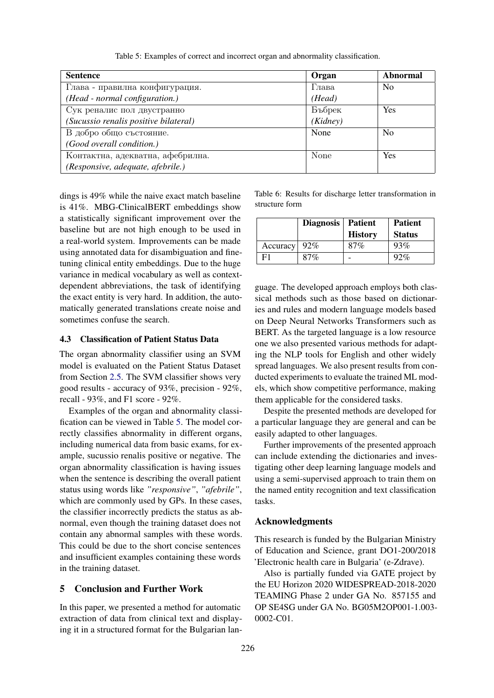<span id="page-7-0"></span>

| <b>Sentence</b>                       | Organ    | Abnormal       |
|---------------------------------------|----------|----------------|
| Глава - правилна конфигурация.        | Глава    | N <sub>0</sub> |
| (Head - normal configuration.)        | (Head)   |                |
| Сук реналис пол двустранно            | Бъбрек   | Yes            |
| (Sucussio renalis positive bilateral) | (Kidney) |                |
| В добро общо състояние.               | None     | N <sub>0</sub> |
| (Good overall condition.)             |          |                |
| Контактна, адекватна, афебрилна.      | None     | Yes            |
| (Responsive, adequate, afebrile.)     |          |                |

dings is 49% while the naive exact match baseline is 41%. MBG-ClinicalBERT embeddings show a statistically significant improvement over the baseline but are not high enough to be used in a real-world system. Improvements can be made using annotated data for disambiguation and finetuning clinical entity embeddings. Due to the huge variance in medical vocabulary as well as contextdependent abbreviations, the task of identifying the exact entity is very hard. In addition, the automatically generated translations create noise and sometimes confuse the search.

### 4.3 Classification of Patient Status Data

The organ abnormality classifier using an SVM model is evaluated on the Patient Status Dataset from Section [2.5.](#page-1-7) The SVM classifier shows very good results - accuracy of 93%, precision - 92%, recall - 93%, and F1 score - 92%.

Examples of the organ and abnormality classification can be viewed in Table [5.](#page-7-0) The model correctly classifies abnormality in different organs, including numerical data from basic exams, for example, sucussio renalis positive or negative. The organ abnormality classification is having issues when the sentence is describing the overall patient status using words like *"responsive"*, *"afebrile"*, which are commonly used by GPs. In these cases, the classifier incorrectly predicts the status as abnormal, even though the training dataset does not contain any abnormal samples with these words. This could be due to the short concise sentences and insufficient examples containing these words in the training dataset.

### 5 Conclusion and Further Work

In this paper, we presented a method for automatic extraction of data from clinical text and displaying it in a structured format for the Bulgarian lan-

|                |  |  | Table 6: Results for discharge letter transformation in |  |
|----------------|--|--|---------------------------------------------------------|--|
| structure form |  |  |                                                         |  |

|          | Diagnosis   Patient | <b>History</b> | <b>Patient</b><br><b>Status</b> |
|----------|---------------------|----------------|---------------------------------|
| Accuracy | 92%                 | 87%            | 93%                             |
| F1       | 87%                 |                | 92%                             |

guage. The developed approach employs both classical methods such as those based on dictionaries and rules and modern language models based on Deep Neural Networks Transformers such as BERT. As the targeted language is a low resource one we also presented various methods for adapting the NLP tools for English and other widely spread languages. We also present results from conducted experiments to evaluate the trained ML models, which show competitive performance, making them applicable for the considered tasks.

Despite the presented methods are developed for a particular language they are general and can be easily adapted to other languages.

Further improvements of the presented approach can include extending the dictionaries and investigating other deep learning language models and using a semi-supervised approach to train them on the named entity recognition and text classification tasks.

### Acknowledgments

This research is funded by the Bulgarian Ministry of Education and Science, grant DO1-200/2018 'Electronic health care in Bulgaria' (e-Zdrave).

Also is partially funded via GATE project by the EU Horizon 2020 WIDESPREAD-2018-2020 TEAMING Phase 2 under GA No. 857155 and OP SE4SG under GA No. BG05M2OP001-1.003- 0002-C01.